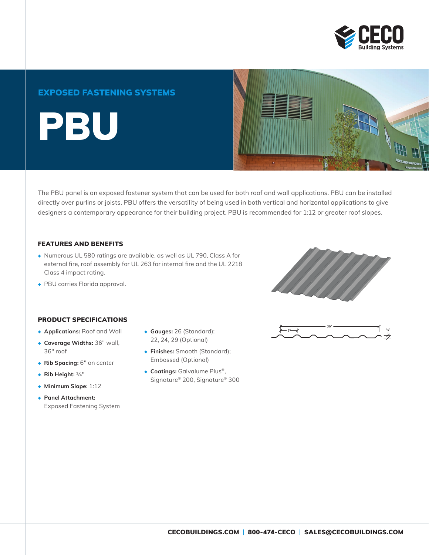

## EXPOSED FASTENING SYSTEMS

**PBU** 



The PBU panel is an exposed fastener system that can be used for both roof and wall applications. PBU can be installed directly over purlins or joists. PBU offers the versatility of being used in both vertical and horizontal applications to give designers a contemporary appearance for their building project. PBU is recommended for 1:12 or greater roof slopes.

#### FEATURES AND BENEFITS

- ◆ Numerous UL 580 ratings are available, as well as UL 790, Class A for external fire, roof assembly for UL 263 for internal fire and the UL 2218 Class 4 impact rating.
- ◆ PBU carries Florida approval.

### PRODUCT SPECIFICATIONS

- ◆ **Applications:** Roof and Wall
- ◆ **Coverage Widths:** 36" wall, 36" roof
- ◆ **Rib Spacing:** 6" on center
- ◆ **Rib Height:** 3/4"
- ◆ **Minimum Slope:** 1:12
- ◆ **Panel Attachment:** Exposed Fastening System
- ◆ **Gauges:** 26 (Standard); 22, 24, 29 (Optional)
- ◆ **Finishes:** Smooth (Standard); Embossed (Optional)
- ◆ **Coatings:** Galvalume Plus®, Signature® 200, Signature® 300